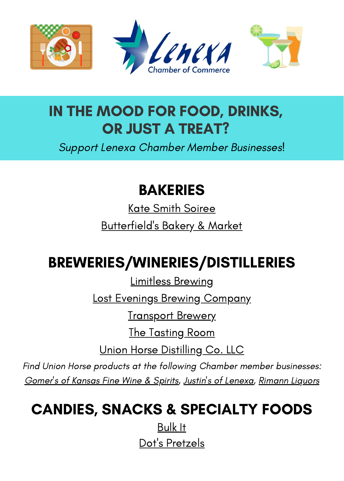

### IN THE MOOD FOR FOOD, DRINKS, OR JUST A TREAT?

Support Lenexa Chamber Member Businesses!

#### BAKERIES

Kate Smith [Soiree](https://www.katesmithsoiree.com/) [Butterfield's](https://www.butterfieldskc.com/) Bakery & Market

# BREWERIES/WINERIES/DISTILLERIES

[Limitless](https://www.limitlessbrewing.com/index.html) Brewing

Lost Evenings Brewing [Company](https://www.losteveningsbrewingcompany.com/)

**[Transport](https://www.transportbrewery.com/) Brewery** 

The [Tasting](https://lenexapublicmarket.com/cms/One.aspx?portalId=7662819&pageId=7870230) Room

Union Horse [Distilling](https://www.unionhorse.com/) Co. LLC

Find Union Horse products at the following Chamber member businesses: [Gomer's](https://gomersofkansas.com/) of Kansas Fine Wine & Spirits, Justin's of [Lenexa,](https://justinsoflenexa.com/) [Rimann](https://rimannliquors.com/) Liquors

## CANDIES, SNACKS & SPECIALTY FOODS

[Bulk](http://www.bulkitfoods.com/) It Dot's [Pretzels](https://dotspretzels.com/)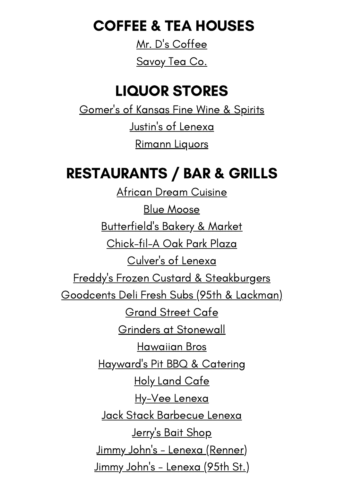COFFEE & TEA HOUSES

Mr. D's [Coffee](https://lenexapublicmarket.com/merchants/mr__d_s_coffee) [Savoy](https://savoytea.com/) Tea Co.

#### LIQUOR STORES

[Gomer's](https://gomersofkansas.com/) of Kansas Fine Wine & Spirits Justin's of [Lenexa](https://justinsoflenexa.com/) [Rimann](https://rimannliquors.com/) Liquors

#### RESTAURANTS / BAR & GRILLS

African Dream [Cuisine](https://lenexapublicmarket.com/merchants/african_dream_cuisine) [Blu](http://thebluemoosebarandgrill.com/lenexa/)e [Moose](http://thebluemoosebarandgrill.com/lenexa/) [Butterfield's](https://www.butterfieldskc.com/) Bakery & Market [Chick-fil-A](https://www.chick-fil-a.com/locations/ks/oak-park-plaza) Oak Park Plaza [Culver's](https://www.culvers.com/restaurants/87th-st-pkwy-lenexa-ks) of Lenexa Freddy's Frozen Custard & [Steakburgers](https://freddysusa.com/store/lenexa-ks/) [Goodcents](https://locations.goodcentssubs.com/en-us/us/ks/lenexa/9542-lackman-rd/) Deli Fresh Subs (95th & Lackman) [Grand](http://grandstreetkc.com/) Street Cafe Grinders at [Stonewall](https://grinderspizza.com/stonewall/) [Hawaiian](https://hawaiianbros.com/locations/lenexa-ks/) Bros [Hayward's](https://haywardspitbarbque.menufy.com/) Pit BBQ & Catering Holy Land [Cafe](http://holylandcafe.com/) [Hy-Vee](https://www.hy-vee.com/stores/detail.aspx?s=88) Lenexa Jack Stack [Barbecue](https://www.jackstackbbq.com/locations/lenexa) Lenexa [Jerry's](https://www.facebook.com/jerrysbaitshop) Bait Shop Jimmy John's - Lenexa [\(Renner\)](https://locations.jimmyjohns.com/ks/lenexa/sandwiches-2158.html?utm_source=google%20my%20business&utm_medium=organic&utm_campaign=website%20link) <u>Jimmy John's - [Lenexa](https://locations.jimmyjohns.com/ks/lenexa/sandwiches-1990.html?utm_source=google%20my%20business&utm_medium=organic&utm_campaign=website%20link) (95th St.)</u>